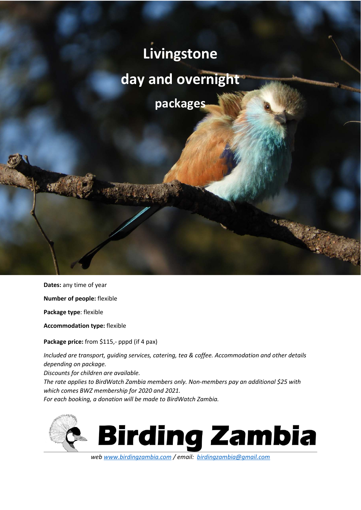## **Livingstone day and overnight packages**

**Dates:** any time of year

**Number of people:** flexible

**Package type**: flexible

**Accommodation type:** flexible

**Package price:** from \$115,- pppd (if 4 pax)

*Included are transport, guiding services, catering, tea & coffee. Accommodation and other details depending on package. Discounts for children are available. The rate applies to BirdWatch Zambia members only. Non-members pay an additional \$25 with which comes BWZ membership for 2020 and 2021. For each booking, a donation will be made to BirdWatch Zambia.* 



*web www.birdingzambia.com / email: birdingzambia@gmail.com*